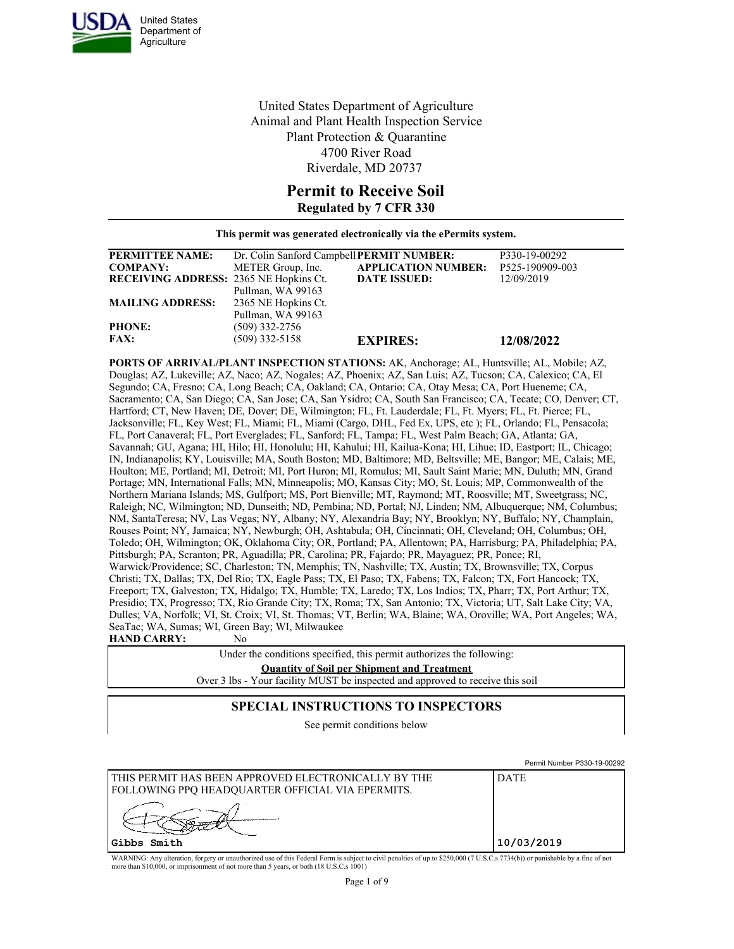

United States Department of Agriculture Animal and Plant Health Inspection Service Plant Protection & Quarantine 4700 River Road Riverdale, MD 20737

# **Permit to Receive Soil**

#### **Regulated by 7 CFR 330**

**This permit was generated electronically via the ePermits system.**

| <b>PERMITTEE NAME:</b>                        | Dr. Colin Sanford Campbell PERMIT NUMBER: |                            | P330-19-00292   |
|-----------------------------------------------|-------------------------------------------|----------------------------|-----------------|
| <b>COMPANY:</b>                               | METER Group, Inc.                         | <b>APPLICATION NUMBER:</b> | P525-190909-003 |
| <b>RECEIVING ADDRESS: 2365 NE Hopkins Ct.</b> |                                           | <b>DATE ISSUED:</b>        | 12/09/2019      |
|                                               | Pullman, WA 99163                         |                            |                 |
| <b>MAILING ADDRESS:</b>                       | 2365 NE Hopkins Ct.                       |                            |                 |
|                                               | Pullman, WA 99163                         |                            |                 |
| <b>PHONE:</b>                                 | $(509)$ 332-2756                          |                            |                 |
| <b>FAX:</b>                                   | $(509)$ 332-5158                          | <b>EXPIRES:</b>            | 12/08/2022      |

**PORTS OF ARRIVAL/PLANT INSPECTION STATIONS:** AK, Anchorage; AL, Huntsville; AL, Mobile; AZ, Douglas; AZ, Lukeville; AZ, Naco; AZ, Nogales; AZ, Phoenix; AZ, San Luis; AZ, Tucson; CA, Calexico; CA, El Segundo; CA, Fresno; CA, Long Beach; CA, Oakland; CA, Ontario; CA, Otay Mesa; CA, Port Hueneme; CA, Sacramento; CA, San Diego; CA, San Jose; CA, San Ysidro; CA, South San Francisco; CA, Tecate; CO, Denver; CT, Hartford; CT, New Haven; DE, Dover; DE, Wilmington; FL, Ft. Lauderdale; FL, Ft. Myers; FL, Ft. Pierce; FL, Jacksonville; FL, Key West; FL, Miami; FL, Miami (Cargo, DHL, Fed Ex, UPS, etc ); FL, Orlando; FL, Pensacola; FL, Port Canaveral; FL, Port Everglades; FL, Sanford; FL, Tampa; FL, West Palm Beach; GA, Atlanta; GA, Savannah; GU, Agana; HI, Hilo; HI, Honolulu; HI, Kahului; HI, Kailua-Kona; HI, Lihue; ID, Eastport; IL, Chicago; IN, Indianapolis; KY, Louisville; MA, South Boston; MD, Baltimore; MD, Beltsville; ME, Bangor; ME, Calais; ME, Houlton; ME, Portland; MI, Detroit; MI, Port Huron; MI, Romulus; MI, Sault Saint Marie; MN, Duluth; MN, Grand Portage; MN, International Falls; MN, Minneapolis; MO, Kansas City; MO, St. Louis; MP, Commonwealth of the Northern Mariana Islands; MS, Gulfport; MS, Port Bienville; MT, Raymond; MT, Roosville; MT, Sweetgrass; NC, Raleigh; NC, Wilmington; ND, Dunseith; ND, Pembina; ND, Portal; NJ, Linden; NM, Albuquerque; NM, Columbus; NM, SantaTeresa; NV, Las Vegas; NY, Albany; NY, Alexandria Bay; NY, Brooklyn; NY, Buffalo; NY, Champlain, Rouses Point; NY, Jamaica; NY, Newburgh; OH, Ashtabula; OH, Cincinnati; OH, Cleveland; OH, Columbus; OH, Toledo; OH, Wilmington; OK, Oklahoma City; OR, Portland; PA, Allentown; PA, Harrisburg; PA, Philadelphia; PA, Pittsburgh; PA, Scranton; PR, Aguadilla; PR, Carolina; PR, Fajardo; PR, Mayaguez; PR, Ponce; RI, Warwick/Providence; SC, Charleston; TN, Memphis; TN, Nashville; TX, Austin; TX, Brownsville; TX, Corpus Christi; TX, Dallas; TX, Del Rio; TX, Eagle Pass; TX, El Paso; TX, Fabens; TX, Falcon; TX, Fort Hancock; TX, Freeport; TX, Galveston; TX, Hidalgo; TX, Humble; TX, Laredo; TX, Los Indios; TX, Pharr; TX, Port Arthur; TX, Presidio; TX, Progresso; TX, Rio Grande City; TX, Roma; TX, San Antonio; TX, Victoria; UT, Salt Lake City; VA, Dulles; VA, Norfolk; VI, St. Croix; VI, St. Thomas; VT, Berlin; WA, Blaine; WA, Oroville; WA, Port Angeles; WA, SeaTac; WA, Sumas; WI, Green Bay; WI, Milwaukee

#### **HAND CARRY:** No

Under the conditions specified, this permit authorizes the following: **Quantity of Soil per Shipment and Treatment** Over 3 lbs - Your facility MUST be inspected and approved to receive this soil

#### **SPECIAL INSTRUCTIONS TO INSPECTORS**

See permit conditions below

|                                                                                                             | Permit Number P330-19-00292 |
|-------------------------------------------------------------------------------------------------------------|-----------------------------|
| I THIS PERMIT HAS BEEN APPROVED ELECTRONICALLY BY THE<br>  FOLLOWING PPO HEADOUARTER OFFICIAL VIA EPERMITS. | <b>DATE</b>                 |
|                                                                                                             |                             |
| Gibbs Smith                                                                                                 | 10/03/2019                  |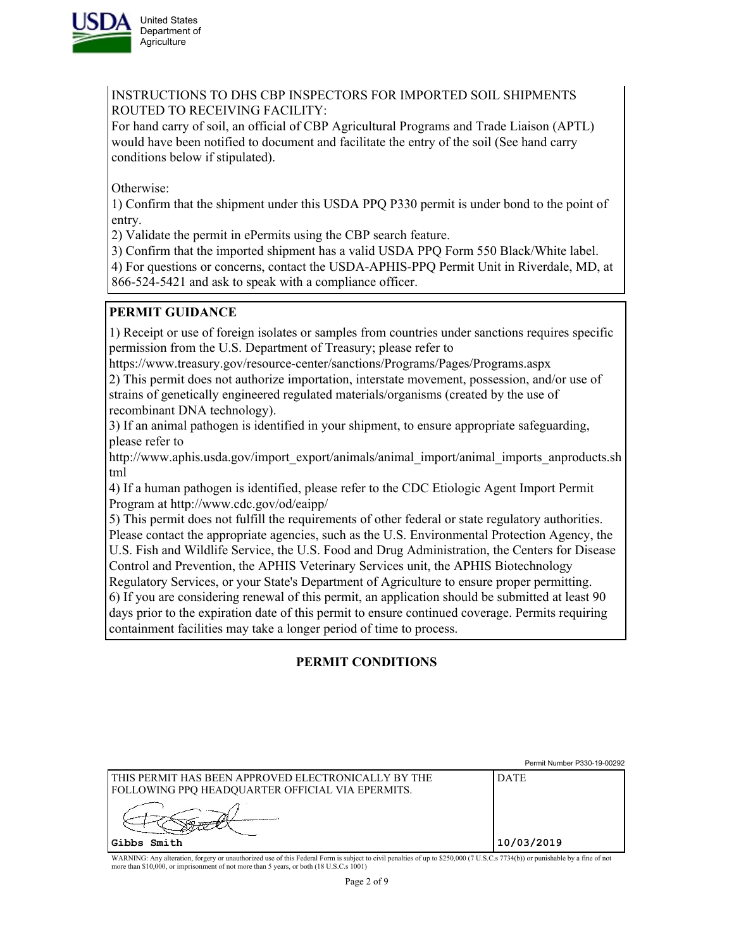

INSTRUCTIONS TO DHS CBP INSPECTORS FOR IMPORTED SOIL SHIPMENTS ROUTED TO RECEIVING FACILITY:

For hand carry of soil, an official of CBP Agricultural Programs and Trade Liaison (APTL) would have been notified to document and facilitate the entry of the soil (See hand carry conditions below if stipulated).

Otherwise:

1) Confirm that the shipment under this USDA PPQ P330 permit is under bond to the point of entry.

2) Validate the permit in ePermits using the CBP search feature.

3) Confirm that the imported shipment has a valid USDA PPQ Form 550 Black/White label.

4) For questions or concerns, contact the USDA-APHIS-PPQ Permit Unit in Riverdale, MD, at 866-524-5421 and ask to speak with a compliance officer.

## **PERMIT GUIDANCE**

1) Receipt or use of foreign isolates or samples from countries under sanctions requires specific permission from the U.S. Department of Treasury; please refer to

https://www.treasury.gov/resource-center/sanctions/Programs/Pages/Programs.aspx

2) This permit does not authorize importation, interstate movement, possession, and/or use of strains of genetically engineered regulated materials/organisms (created by the use of recombinant DNA technology).

3) If an animal pathogen is identified in your shipment, to ensure appropriate safeguarding, please refer to

http://www.aphis.usda.gov/import\_export/animals/animal\_import/animal\_imports\_anproducts.sh tml

4) If a human pathogen is identified, please refer to the CDC Etiologic Agent Import Permit Program at http://www.cdc.gov/od/eaipp/

5) This permit does not fulfill the requirements of other federal or state regulatory authorities. Please contact the appropriate agencies, such as the U.S. Environmental Protection Agency, the U.S. Fish and Wildlife Service, the U.S. Food and Drug Administration, the Centers for Disease Control and Prevention, the APHIS Veterinary Services unit, the APHIS Biotechnology Regulatory Services, or your State's Department of Agriculture to ensure proper permitting. 6) If you are considering renewal of this permit, an application should be submitted at least 90 days prior to the expiration date of this permit to ensure continued coverage. Permits requiring containment facilities may take a longer period of time to process.

# **PERMIT CONDITIONS**

|                                                                                                                | Permit Number P330-19-00292 |
|----------------------------------------------------------------------------------------------------------------|-----------------------------|
| THIS PERMIT HAS BEEN APPROVED ELECTRONICALLY BY THE<br><b>FOLLOWING PPQ HEADQUARTER OFFICIAL VIA EPERMITS.</b> | <b>DATE</b>                 |
|                                                                                                                |                             |
| Gibbs Smith                                                                                                    | 10/03/2019                  |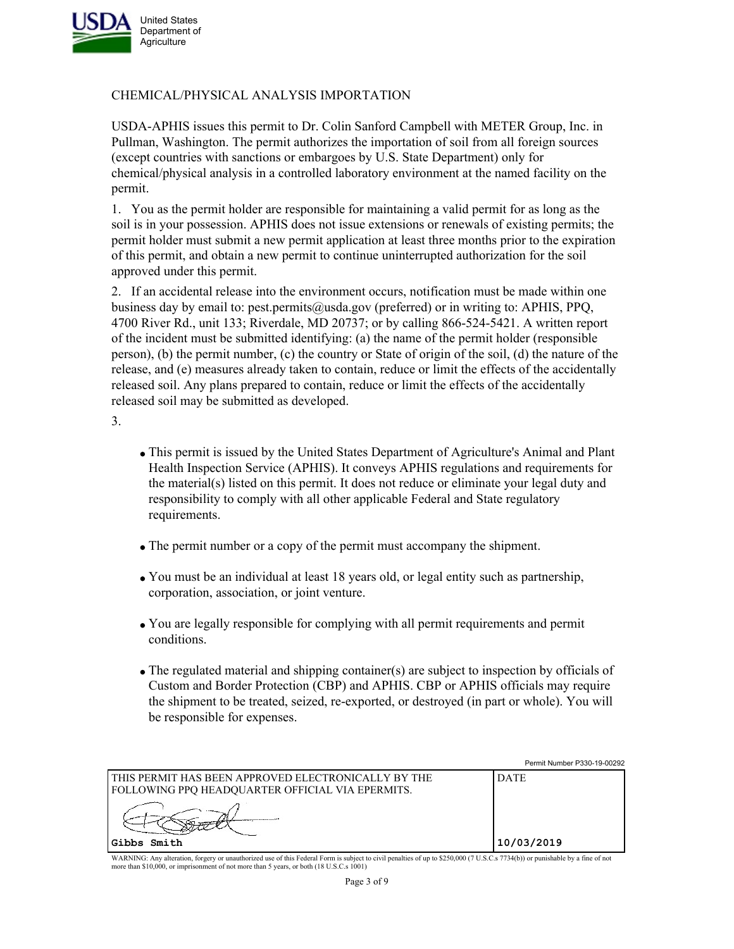

## CHEMICAL/PHYSICAL ANALYSIS IMPORTATION

USDA-APHIS issues this permit to Dr. Colin Sanford Campbell with METER Group, Inc. in Pullman, Washington. The permit authorizes the importation of soil from all foreign sources (except countries with sanctions or embargoes by U.S. State Department) only for chemical/physical analysis in a controlled laboratory environment at the named facility on the permit.

1. You as the permit holder are responsible for maintaining a valid permit for as long as the soil is in your possession. APHIS does not issue extensions or renewals of existing permits; the permit holder must submit a new permit application at least three months prior to the expiration of this permit, and obtain a new permit to continue uninterrupted authorization for the soil approved under this permit.

2. If an accidental release into the environment occurs, notification must be made within one business day by email to: pest.permits@usda.gov (preferred) or in writing to: APHIS, PPQ, 4700 River Rd., unit 133; Riverdale, MD 20737; or by calling 866-524-5421. A written report of the incident must be submitted identifying: (a) the name of the permit holder (responsible person), (b) the permit number, (c) the country or State of origin of the soil, (d) the nature of the release, and (e) measures already taken to contain, reduce or limit the effects of the accidentally released soil. Any plans prepared to contain, reduce or limit the effects of the accidentally released soil may be submitted as developed.

3.

- This permit is issued by the United States Department of Agriculture's Animal and Plant Health Inspection Service (APHIS). It conveys APHIS regulations and requirements for the material(s) listed on this permit. It does not reduce or eliminate your legal duty and responsibility to comply with all other applicable Federal and State regulatory requirements.
- The permit number or a copy of the permit must accompany the shipment.
- You must be an individual at least 18 years old, or legal entity such as partnership, corporation, association, or joint venture.
- You are legally responsible for complying with all permit requirements and permit conditions.
- The regulated material and shipping container(s) are subject to inspection by officials of Custom and Border Protection (CBP) and APHIS. CBP or APHIS officials may require the shipment to be treated, seized, re-exported, or destroyed (in part or whole). You will be responsible for expenses.

|                                                                                                                | Permit Number P330-19-00292 |
|----------------------------------------------------------------------------------------------------------------|-----------------------------|
| THIS PERMIT HAS BEEN APPROVED ELECTRONICALLY BY THE<br><b>FOLLOWING PPQ HEADQUARTER OFFICIAL VIA EPERMITS.</b> | <b>DATE</b>                 |
|                                                                                                                |                             |
| 'Gibbs Smith                                                                                                   | 10/03/2019                  |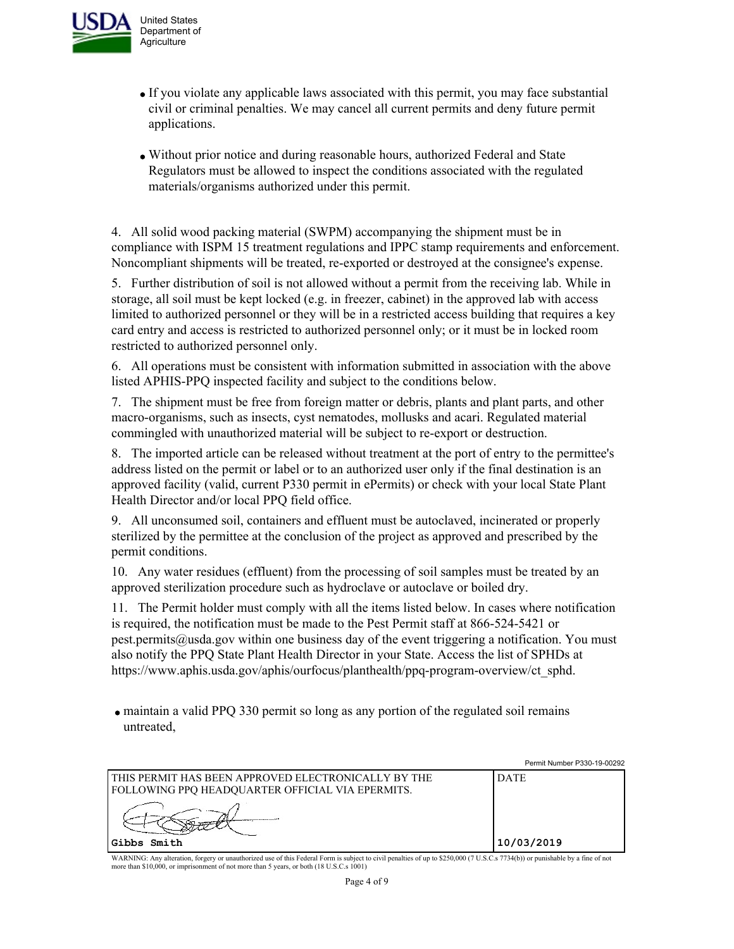

- If you violate any applicable laws associated with this permit, you may face substantial civil or criminal penalties. We may cancel all current permits and deny future permit applications.
- Without prior notice and during reasonable hours, authorized Federal and State Regulators must be allowed to inspect the conditions associated with the regulated materials/organisms authorized under this permit.

4. All solid wood packing material (SWPM) accompanying the shipment must be in compliance with ISPM 15 treatment regulations and IPPC stamp requirements and enforcement. Noncompliant shipments will be treated, re-exported or destroyed at the consignee's expense.

5. Further distribution of soil is not allowed without a permit from the receiving lab. While in storage, all soil must be kept locked (e.g. in freezer, cabinet) in the approved lab with access limited to authorized personnel or they will be in a restricted access building that requires a key card entry and access is restricted to authorized personnel only; or it must be in locked room restricted to authorized personnel only.

6. All operations must be consistent with information submitted in association with the above listed APHIS-PPQ inspected facility and subject to the conditions below.

7. The shipment must be free from foreign matter or debris, plants and plant parts, and other macro-organisms, such as insects, cyst nematodes, mollusks and acari. Regulated material commingled with unauthorized material will be subject to re-export or destruction.

8. The imported article can be released without treatment at the port of entry to the permittee's address listed on the permit or label or to an authorized user only if the final destination is an approved facility (valid, current P330 permit in ePermits) or check with your local State Plant Health Director and/or local PPQ field office.

9. All unconsumed soil, containers and effluent must be autoclaved, incinerated or properly sterilized by the permittee at the conclusion of the project as approved and prescribed by the permit conditions.

10. Any water residues (effluent) from the processing of soil samples must be treated by an approved sterilization procedure such as hydroclave or autoclave or boiled dry.

11. The Permit holder must comply with all the items listed below. In cases where notification is required, the notification must be made to the Pest Permit staff at 866-524-5421 or pest.permits@usda.gov within one business day of the event triggering a notification. You must also notify the PPQ State Plant Health Director in your State. Access the list of SPHDs at https://www.aphis.usda.gov/aphis/ourfocus/planthealth/ppq-program-overview/ct\_sphd.

maintain a valid PPQ 330 permit so long as any portion of the regulated soil remains untreated,

|                                                                                                                | Permit Number P330-19-00292 |
|----------------------------------------------------------------------------------------------------------------|-----------------------------|
| THIS PERMIT HAS BEEN APPROVED ELECTRONICALLY BY THE<br><b>FOLLOWING PPQ HEADQUARTER OFFICIAL VIA EPERMITS.</b> | <b>DATE</b>                 |
|                                                                                                                |                             |
| Gibbs Smith                                                                                                    | 10/03/2019                  |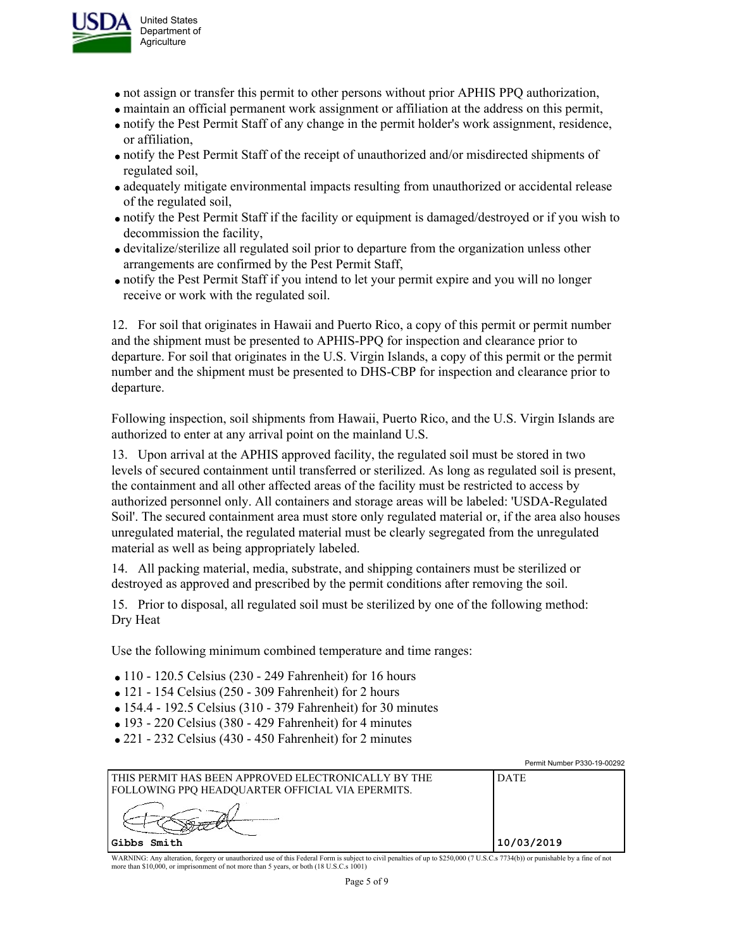

- not assign or transfer this permit to other persons without prior APHIS PPQ authorization,
- maintain an official permanent work assignment or affiliation at the address on this permit,
- notify the Pest Permit Staff of any change in the permit holder's work assignment, residence, or affiliation,
- notify the Pest Permit Staff of the receipt of unauthorized and/or misdirected shipments of regulated soil,
- adequately mitigate environmental impacts resulting from unauthorized or accidental release of the regulated soil,
- notify the Pest Permit Staff if the facility or equipment is damaged/destroyed or if you wish to decommission the facility,
- devitalize/sterilize all regulated soil prior to departure from the organization unless other arrangements are confirmed by the Pest Permit Staff,
- notify the Pest Permit Staff if you intend to let your permit expire and you will no longer receive or work with the regulated soil.

12. For soil that originates in Hawaii and Puerto Rico, a copy of this permit or permit number and the shipment must be presented to APHIS-PPQ for inspection and clearance prior to departure. For soil that originates in the U.S. Virgin Islands, a copy of this permit or the permit number and the shipment must be presented to DHS-CBP for inspection and clearance prior to departure.

Following inspection, soil shipments from Hawaii, Puerto Rico, and the U.S. Virgin Islands are authorized to enter at any arrival point on the mainland U.S.

13. Upon arrival at the APHIS approved facility, the regulated soil must be stored in two levels of secured containment until transferred or sterilized. As long as regulated soil is present, the containment and all other affected areas of the facility must be restricted to access by authorized personnel only. All containers and storage areas will be labeled: 'USDA-Regulated Soil'. The secured containment area must store only regulated material or, if the area also houses unregulated material, the regulated material must be clearly segregated from the unregulated material as well as being appropriately labeled.

14. All packing material, media, substrate, and shipping containers must be sterilized or destroyed as approved and prescribed by the permit conditions after removing the soil.

15. Prior to disposal, all regulated soil must be sterilized by one of the following method: Dry Heat

Use the following minimum combined temperature and time ranges:

- $\bullet$  110 120.5 Celsius (230 249 Fahrenheit) for 16 hours
- $\bullet$  121 154 Celsius (250 309 Fahrenheit) for 2 hours
- 154.4 192.5 Celsius (310 379 Fahrenheit) for 30 minutes
- $\bullet$  193 220 Celsius (380 429 Fahrenheit) for 4 minutes
- 221 232 Celsius (430 450 Fahrenheit) for 2 minutes

|                                                                                                         | Permit Number P330-19-00292 |
|---------------------------------------------------------------------------------------------------------|-----------------------------|
| THIS PERMIT HAS BEEN APPROVED ELECTRONICALLY BY THE<br>FOLLOWING PPQ HEADQUARTER OFFICIAL VIA EPERMITS. | <b>DATE</b>                 |
|                                                                                                         |                             |
| Gibbs Smith                                                                                             | 10/03/2019                  |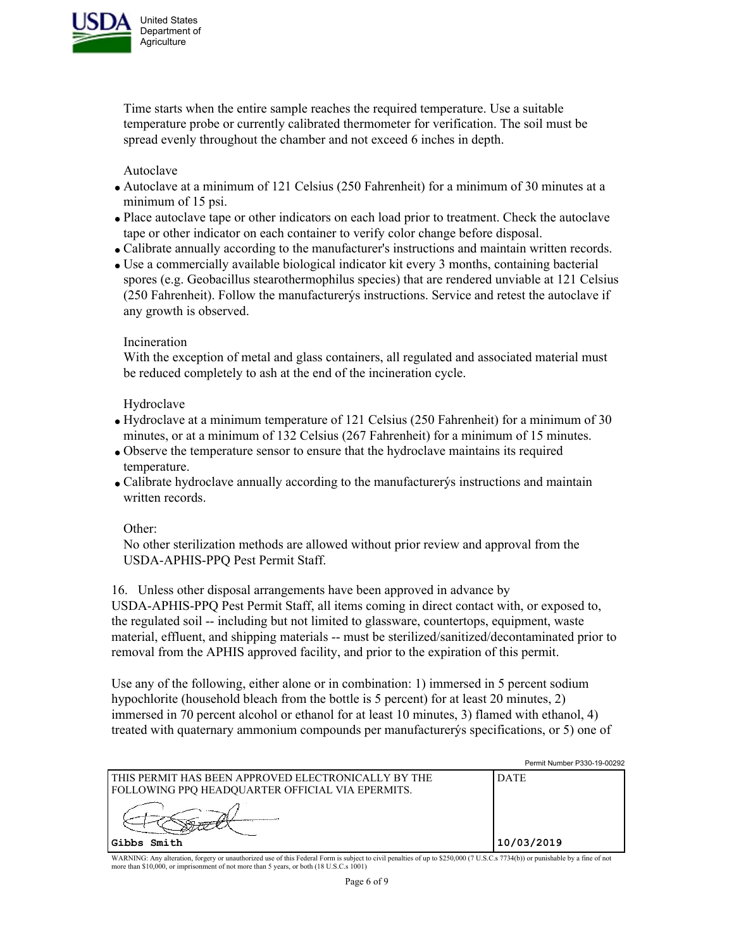

Time starts when the entire sample reaches the required temperature. Use a suitable temperature probe or currently calibrated thermometer for verification. The soil must be spread evenly throughout the chamber and not exceed 6 inches in depth.

Autoclave

- Autoclave at a minimum of 121 Celsius (250 Fahrenheit) for a minimum of 30 minutes at a minimum of 15 psi.
- Place autoclave tape or other indicators on each load prior to treatment. Check the autoclave tape or other indicator on each container to verify color change before disposal.
- Calibrate annually according to the manufacturer's instructions and maintain written records.
- Use a commercially available biological indicator kit every 3 months, containing bacterial spores (e.g. Geobacillus stearothermophilus species) that are rendered unviable at 121 Celsius (250 Fahrenheit). Follow the manufacturerýs instructions. Service and retest the autoclave if any growth is observed.

## Incineration

With the exception of metal and glass containers, all regulated and associated material must be reduced completely to ash at the end of the incineration cycle.

### Hydroclave

- Hydroclave at a minimum temperature of 121 Celsius (250 Fahrenheit) for a minimum of 30 minutes, or at a minimum of 132 Celsius (267 Fahrenheit) for a minimum of 15 minutes.
- Observe the temperature sensor to ensure that the hydroclave maintains its required temperature.
- Calibrate hydroclave annually according to the manufacturerýs instructions and maintain written records.

Other:

No other sterilization methods are allowed without prior review and approval from the USDA-APHIS-PPQ Pest Permit Staff.

16. Unless other disposal arrangements have been approved in advance by

USDA-APHIS-PPQ Pest Permit Staff, all items coming in direct contact with, or exposed to, the regulated soil -- including but not limited to glassware, countertops, equipment, waste material, effluent, and shipping materials -- must be sterilized/sanitized/decontaminated prior to removal from the APHIS approved facility, and prior to the expiration of this permit.

Use any of the following, either alone or in combination: 1) immersed in 5 percent sodium hypochlorite (household bleach from the bottle is 5 percent) for at least 20 minutes, 2) immersed in 70 percent alcohol or ethanol for at least 10 minutes, 3) flamed with ethanol, 4) treated with quaternary ammonium compounds per manufacturerýs specifications, or 5) one of

|                                                                                                           | Permit Number P330-19-00292 |
|-----------------------------------------------------------------------------------------------------------|-----------------------------|
| I THIS PERMIT HAS BEEN APPROVED ELECTRONICALLY BY THE<br>FOLLOWING PPO HEADOUARTER OFFICIAL VIA EPERMITS. | <b>DATE</b>                 |
|                                                                                                           |                             |
| lGibbs Smith                                                                                              | 10/03/2019                  |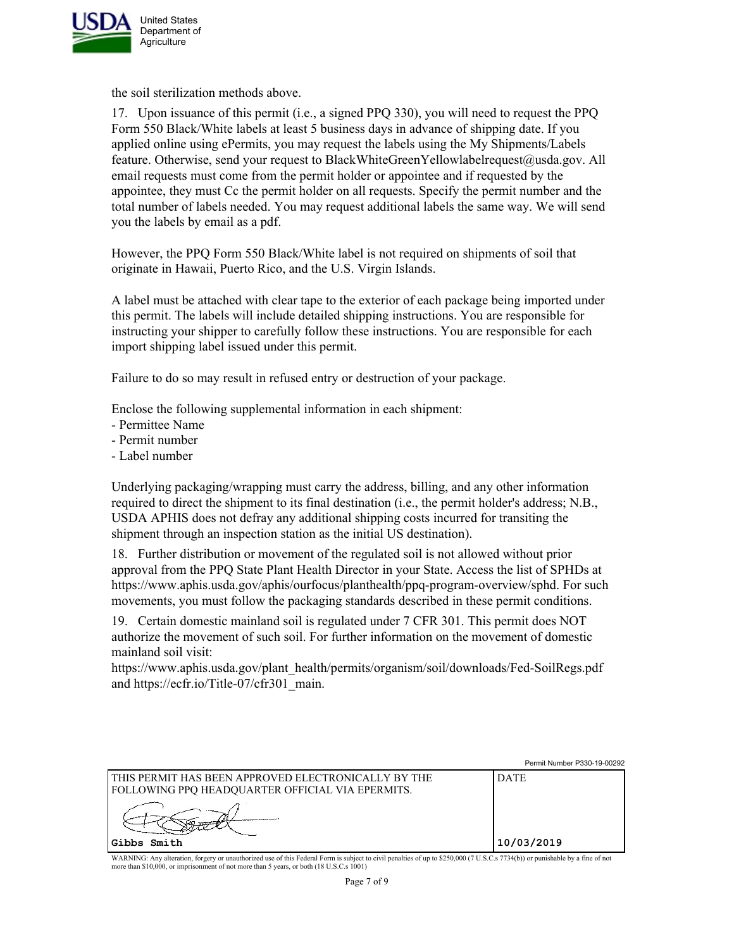

the soil sterilization methods above.

17. Upon issuance of this permit (i.e., a signed PPQ 330), you will need to request the PPQ Form 550 Black/White labels at least 5 business days in advance of shipping date. If you applied online using ePermits, you may request the labels using the My Shipments/Labels feature. Otherwise, send your request to BlackWhiteGreenYellowlabelrequest@usda.gov. All email requests must come from the permit holder or appointee and if requested by the appointee, they must Cc the permit holder on all requests. Specify the permit number and the total number of labels needed. You may request additional labels the same way. We will send you the labels by email as a pdf.

However, the PPQ Form 550 Black/White label is not required on shipments of soil that originate in Hawaii, Puerto Rico, and the U.S. Virgin Islands.

A label must be attached with clear tape to the exterior of each package being imported under this permit. The labels will include detailed shipping instructions. You are responsible for instructing your shipper to carefully follow these instructions. You are responsible for each import shipping label issued under this permit.

Failure to do so may result in refused entry or destruction of your package.

Enclose the following supplemental information in each shipment:

- Permittee Name
- Permit number
- Label number

Underlying packaging/wrapping must carry the address, billing, and any other information required to direct the shipment to its final destination (i.e., the permit holder's address; N.B., USDA APHIS does not defray any additional shipping costs incurred for transiting the shipment through an inspection station as the initial US destination).

18. Further distribution or movement of the regulated soil is not allowed without prior approval from the PPQ State Plant Health Director in your State. Access the list of SPHDs at https://www.aphis.usda.gov/aphis/ourfocus/planthealth/ppq-program-overview/sphd. For such movements, you must follow the packaging standards described in these permit conditions.

19. Certain domestic mainland soil is regulated under 7 CFR 301. This permit does NOT authorize the movement of such soil. For further information on the movement of domestic mainland soil visit:

https://www.aphis.usda.gov/plant\_health/permits/organism/soil/downloads/Fed-SoilRegs.pdf and https://ecfr.io/Title-07/cfr301\_main.

|                                                                                                           | Permit Number P330-19-00292 |
|-----------------------------------------------------------------------------------------------------------|-----------------------------|
| l this permit has been approved electronically by the<br>FOLLOWING PPQ HEADQUARTER OFFICIAL VIA EPERMITS. | <b>DATE</b>                 |
|                                                                                                           |                             |
| Gibbs Smith                                                                                               | 10/03/2019                  |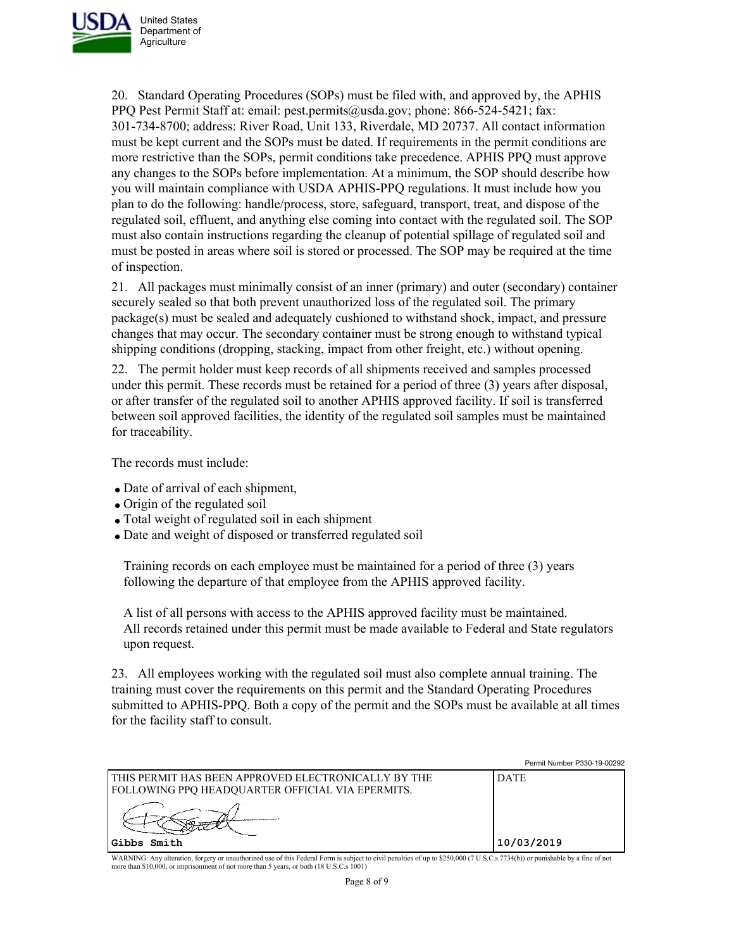

20. Standard Operating Procedures (SOPs) must be filed with, and approved by, the APHIS PPQ Pest Permit Staff at: email: pest.permits@usda.gov; phone: 866-524-5421; fax: 301-734-8700; address: River Road, Unit 133, Riverdale, MD 20737. All contact information must be kept current and the SOPs must be dated. If requirements in the permit conditions are more restrictive than the SOPs, permit conditions take precedence. APHIS PPQ must approve any changes to the SOPs before implementation. At a minimum, the SOP should describe how you will maintain compliance with USDA APHIS-PPQ regulations. It must include how you plan to do the following: handle/process, store, safeguard, transport, treat, and dispose of the regulated soil, effluent, and anything else coming into contact with the regulated soil. The SOP must also contain instructions regarding the cleanup of potential spillage of regulated soil and must be posted in areas where soil is stored or processed. The SOP may be required at the time of inspection.

21. All packages must minimally consist of an inner (primary) and outer (secondary) container securely sealed so that both prevent unauthorized loss of the regulated soil. The primary package(s) must be sealed and adequately cushioned to withstand shock, impact, and pressure changes that may occur. The secondary container must be strong enough to withstand typical shipping conditions (dropping, stacking, impact from other freight, etc.) without opening.

22. The permit holder must keep records of all shipments received and samples processed under this permit. These records must be retained for a period of three (3) years after disposal, or after transfer of the regulated soil to another APHIS approved facility. If soil is transferred between soil approved facilities, the identity of the regulated soil samples must be maintained for traceability.

The records must include:

- Date of arrival of each shipment,
- Origin of the regulated soil
- Total weight of regulated soil in each shipment
- Date and weight of disposed or transferred regulated soil

Training records on each employee must be maintained for a period of three (3) years following the departure of that employee from the APHIS approved facility.

A list of all persons with access to the APHIS approved facility must be maintained. All records retained under this permit must be made available to Federal and State regulators upon request.

23. All employees working with the regulated soil must also complete annual training. The training must cover the requirements on this permit and the Standard Operating Procedures submitted to APHIS-PPQ. Both a copy of the permit and the SOPs must be available at all times for the facility staff to consult.

|                                                                                                           | Permit Number P330-19-00292 |
|-----------------------------------------------------------------------------------------------------------|-----------------------------|
| I THIS PERMIT HAS BEEN APPROVED ELECTRONICALLY BY THE<br>FOLLOWING PPQ HEADQUARTER OFFICIAL VIA EPERMITS. | <b>DATE</b>                 |
| Gibbs Smith                                                                                               | 10/03/2019                  |